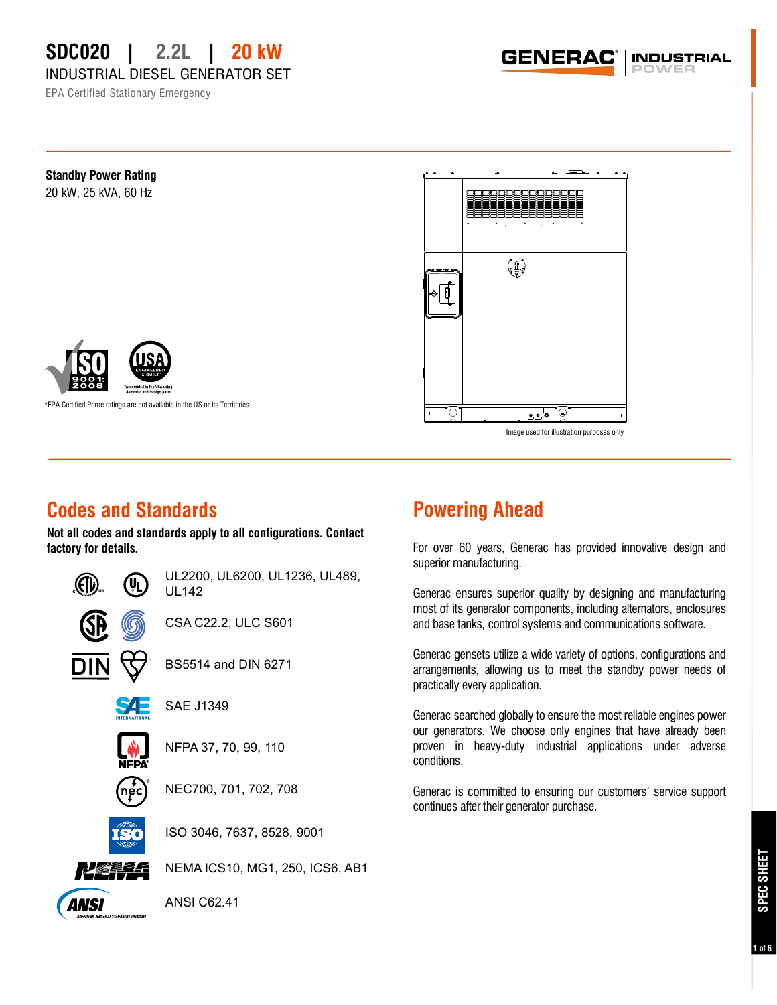INDUSTRIAL DIESEL GENERATOR SET

EPA Certified Stationary Emergency

GENERAC **INDUSTRIAL** 



Image used for illustration purposes only

## **Codes and Standards**

**Not all codes and standards apply to all configurations. Contact factory for details.**



UL2200, UL6200, UL1236, UL489,

CSA C22.2, ULC S601

BS5514 and DIN 6271

NFPA 37, 70, 99, 110

NEC700, 701, 702, 708

ISO 3046, 7637, 8528, 9001

ANSI

ANSI C62.41

## **Powering Ahead**

For over 60 years, Generac has provided innovative design and superior manufacturing.

Generac ensures superior quality by designing and manufacturing most of its generator components, including alternators, enclosures and base tanks, control systems and communications software.

Generac gensets utilize a wide variety of options, configurations and arrangements, allowing us to meet the standby power needs of practically every application.

Generac searched globally to ensure the most reliable engines power our generators. We choose only engines that have already been proven in heavy-duty industrial applications under adverse conditions.

Generac is committed to ensuring our customers' service support continues after their generator purchase.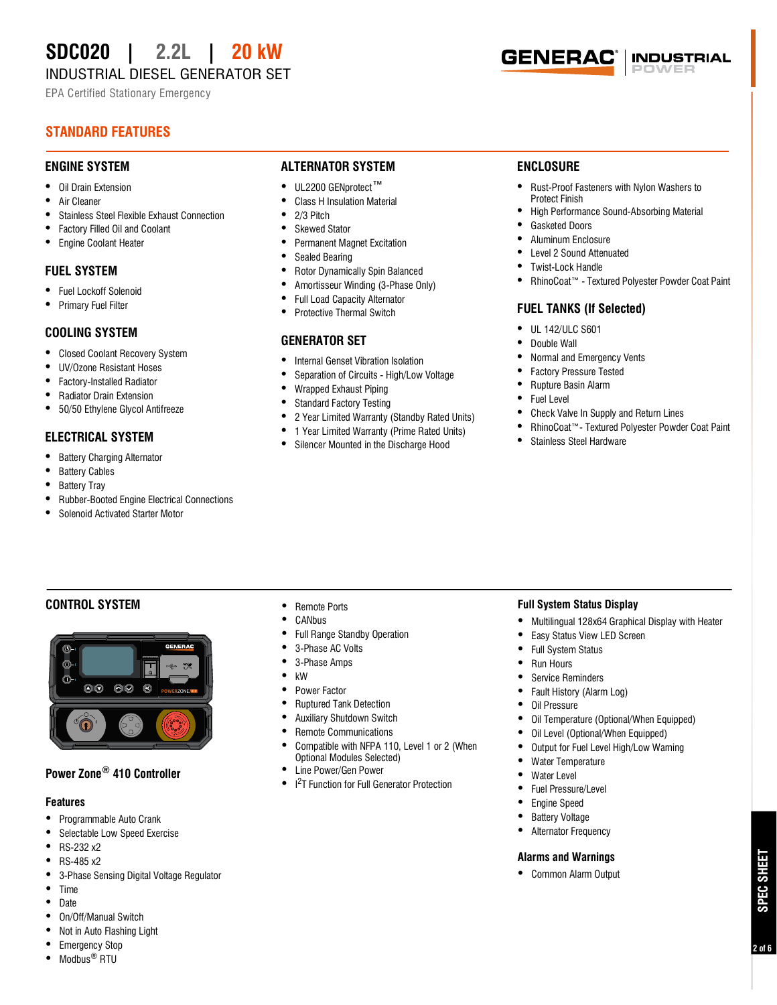INDUSTRIAL DIESEL GENERATOR SET

EPA Certified Stationary Emergency

### **STANDARD FEATURES**

#### **ENGINE SYSTEM**

- **•** Oil Drain Extension
- **•** Air Cleaner
- **•** Stainless Steel Flexible Exhaust Connection
- **•** Factory Filled Oil and Coolant
- **•** Engine Coolant Heater

#### **FUEL SYSTEM**

- **•** Fuel Lockoff Solenoid
- **•** Primary Fuel Filter

#### **COOLING SYSTEM**

- **•** Closed Coolant Recovery System
- **•** UV/Ozone Resistant Hoses
- **•** Factory-Installed Radiator
- **•** Radiator Drain Extension
- **•** 50/50 Ethylene Glycol Antifreeze

#### **ELECTRICAL SYSTEM**

- **•** Battery Charging Alternator
- **•** Battery Cables
- **•** Battery Tray
- **•** Rubber-Booted Engine Electrical Connections
- **•** Solenoid Activated Starter Motor

#### **ALTERNATOR SYSTEM**

- **•** UL2200 GENprotect™
- Class H Insulation Material
- **•** 2/3 Pitch
- **•** Skewed Stator
- **•** Permanent Magnet Excitation
- Sealed Bearing<br>• Rotor Dynamic
- **•** Rotor Dynamically Spin Balanced
- **•** Amortisseur Winding (3-Phase Only)
- **•** Full Load Capacity Alternator
- **•** Protective Thermal Switch

#### **GENERATOR SET**

- **•** Internal Genset Vibration Isolation
- **•** Separation of Circuits High/Low Voltage<br>• Wranned Exhaust Pining
- **•** Wrapped Exhaust Piping
- **•** Standard Factory Testing<br>• 2 Year Limited Warranty (
- **•** 2 Year Limited Warranty (Standby Rated Units)
- **•** 1 Year Limited Warranty (Prime Rated Units)
- **•** Silencer Mounted in the Discharge Hood

#### **ENCLOSURE**

**GENERAC** 

**•** Rust-Proof Fasteners with Nylon Washers to Protect Finish

**INDUSTRIAL** 

- **•** High Performance Sound-Absorbing Material
- **•** Gasketed Doors
- **•** Aluminum Enclosure
- **•** Level 2 Sound Attenuated
- **•** Twist-Lock Handle
- **•** RhinoCoat™ Textured Polyester Powder Coat Paint

#### **FUEL TANKS (If Selected)**

- **•** UL 142/ULC S601
- **•** Double Wall
- **•** Normal and Emergency Vents
- **•** Factory Pressure Tested
- **•** Rupture Basin Alarm
- **•** Fuel Level
- **•** Check Valve In Supply and Return Lines
- **•** RhinoCoat™- Textured Polyester Powder Coat Paint
- **•** Stainless Steel Hardware

#### **CONTROL SYSTEM**



#### **Power Zone® 410 Controller**

#### **Features**

- **•** Programmable Auto Crank
- **•** Selectable Low Speed Exercise
- **•** RS-232 x2
- **•** RS-485 x2
- **•** 3-Phase Sensing Digital Voltage Regulator
- **•** Time
- **•** Date
- **•** On/Off/Manual Switch
- **•** Not in Auto Flashing Light
- **•** Emergency Stop
- **•** Modbus® RTU

#### **•** Remote Ports

- **•** CANbus
- **•** Full Range Standby Operation
- **•** 3-Phase AC Volts
- **•** 3-Phase Amps
- **•** kW
- **•** Power Factor
- **•** Ruptured Tank Detection
- **•** Auxiliary Shutdown Switch
- **•** Remote Communications
- **•** Compatible with NFPA 110, Level 1 or 2 (When Optional Modules Selected)
- **•** Line Power/Gen Power
- **•** I 2 T Function for Full Generator Protection

#### **Full System Status Display**

- **•** Multilingual 128x64 Graphical Display with Heater
- **•** Easy Status View LED Screen
- **•** Full System Status
- **•** Run Hours
- **•** Service Reminders
- **•** Fault History (Alarm Log)

**•** Water Temperature **•** Water Level **•** Fuel Pressure/Level **•** Engine Speed **•** Battery Voltage **•** Alternator Frequency

**Alarms and Warnings •** Common Alarm Output

- **•** Oil Pressure
- **•** Oil Temperature (Optional/When Equipped)

**•** Output for Fuel Level High/Low Warning<br>• Water Temperature

**SPEC SHEET**

SPEC SHEET

**2 of 6**

• Oil Level (Optional/When Equipped)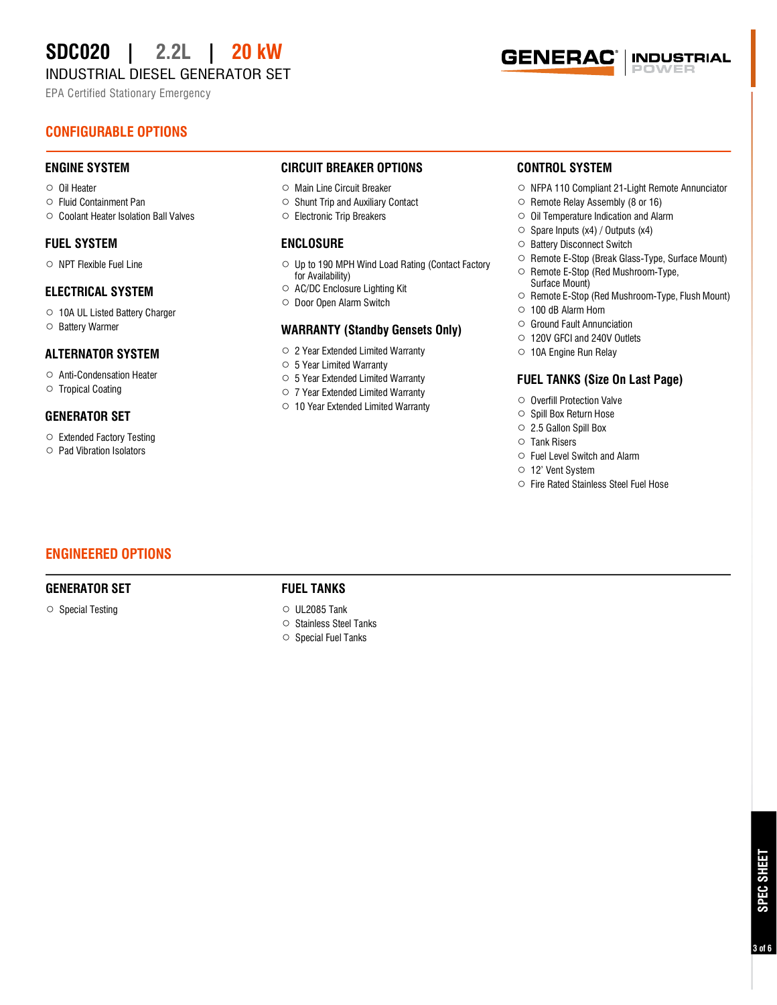INDUSTRIAL DIESEL GENERATOR SET

EPA Certified Stationary Emergency

#### **GENERAC INDUSTRIAL**

#### **CONFIGURABLE OPTIONS**

#### **ENGINE SYSTEM**

- **○** Oil Heater
- **○** Fluid Containment Pan
- **○** Coolant Heater Isolation Ball Valves

#### **FUEL SYSTEM**

**○** NPT Flexible Fuel Line

#### **ELECTRICAL SYSTEM**

**○** 10A UL Listed Battery Charger **○** Battery Warmer

#### **ALTERNATOR SYSTEM**

- **○** Anti-Condensation Heater
- **○** Tropical Coating

#### **GENERATOR SET**

- **○** Extended Factory Testing
- **○** Pad Vibration Isolators

#### **CIRCUIT BREAKER OPTIONS**

- **○** Main Line Circuit Breaker
- **○** Shunt Trip and Auxiliary Contact
- **○** Electronic Trip Breakers

#### **ENCLOSURE**

- **○** Up to 190 MPH Wind Load Rating (Contact Factory for Availability)
- **○** AC/DC Enclosure Lighting Kit
- **○** Door Open Alarm Switch

#### **WARRANTY (Standby Gensets Only)**

- **○** 2 Year Extended Limited Warranty
- **○** 5 Year Limited Warranty
- **○** 5 Year Extended Limited Warranty
- **○** 7 Year Extended Limited Warranty
- **○** 10 Year Extended Limited Warranty

#### **CONTROL SYSTEM**

- **○** NFPA 110 Compliant 21-Light Remote Annunciator
- **○** Remote Relay Assembly (8 or 16)
- **○** Oil Temperature Indication and Alarm
- **○** Spare Inputs (x4) / Outputs (x4)
- **○** Battery Disconnect Switch
- **○** Remote E-Stop (Break Glass-Type, Surface Mount)
- **○** Remote E-Stop (Red Mushroom-Type, Surface Mount)
- **○** Remote E-Stop (Red Mushroom-Type, Flush Mount)
- **○** 100 dB Alarm Horn
- **○** Ground Fault Annunciation
- **○** 120V GFCI and 240V Outlets
- **○** 10A Engine Run Relay

#### **FUEL TANKS (Size On Last Page)**

- **○** Overfill Protection Valve
- **○** Spill Box Return Hose
- **○** 2.5 Gallon Spill Box
- **○** Tank Risers
- **○** Fuel Level Switch and Alarm
- **○** 12' Vent System
- **○** Fire Rated Stainless Steel Fuel Hose

#### **ENGINEERED OPTIONS**

#### **GENERATOR SET**

**○** Special Testing

#### **FUEL TANKS**

- **○** UL2085 Tank
- **○** Stainless Steel Tanks
- **○** Special Fuel Tanks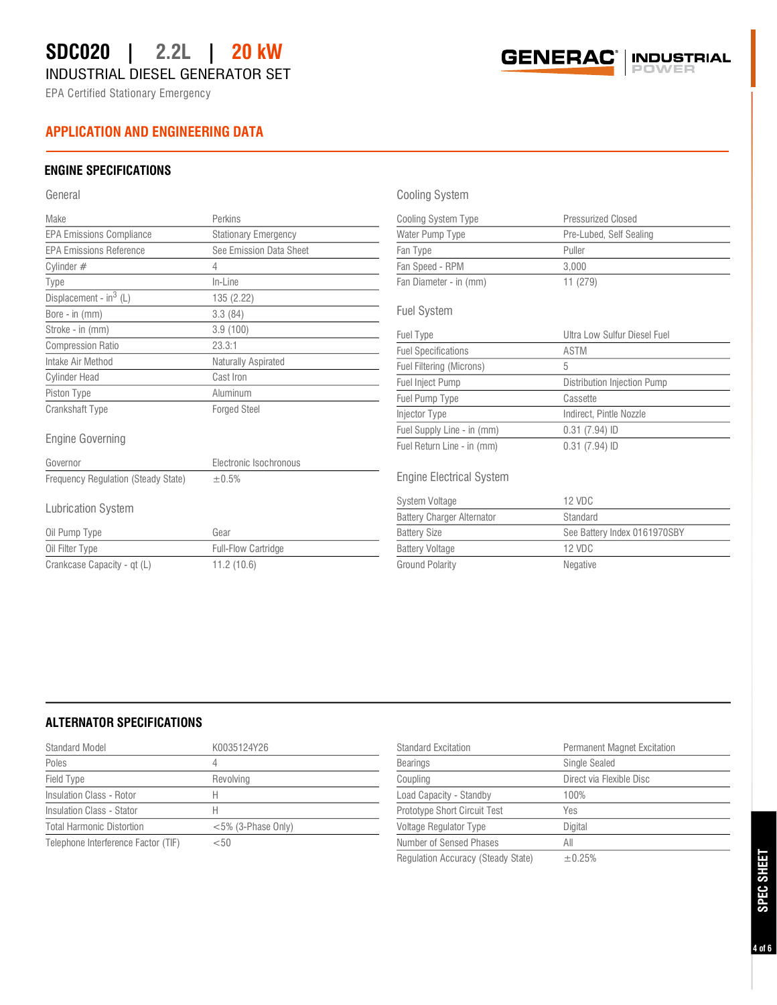INDUSTRIAL DIESEL GENERATOR SET

EPA Certified Stationary Emergency

#### **APPLICATION AND ENGINEERING DATA**

#### **ENGINE SPECIFICATIONS**

#### General

| Make                                | Perkins                     |
|-------------------------------------|-----------------------------|
| <b>EPA Emissions Compliance</b>     | <b>Stationary Emergency</b> |
| <b>EPA Emissions Reference</b>      | See Emission Data Sheet     |
| Cylinder $#$                        | 4                           |
| Type                                | In-Line                     |
| Displacement - in <sup>3</sup> (L)  | 135 (2.22)                  |
| Bore - in (mm)                      | 3.3(84)                     |
| Stroke - in (mm)                    | 3.9(100)                    |
| <b>Compression Ratio</b>            | 23.3:1                      |
| Intake Air Method                   | Naturally Aspirated         |
| <b>Cylinder Head</b>                | Cast Iron                   |
| Piston Type                         | Aluminum                    |
| <b>Crankshaft Type</b>              | <b>Forged Steel</b>         |
| Engine Governing                    |                             |
| Governor                            | Electronic Isochronous      |
| Frequency Regulation (Steady State) | ±0.5%                       |
| Lubrication System                  |                             |
| Oil Pump Type                       | Gear                        |
| Oil Filter Type                     | <b>Full-Flow Cartridge</b>  |
| Crankcase Capacity - qt (L)         | 11.2(10.6)                  |

#### Cooling System

| Cooling System Type    | Pressurized Closed      |  |
|------------------------|-------------------------|--|
| Water Pump Type        | Pre-Lubed, Self Sealing |  |
| Fan Type               | Puller                  |  |
| Fan Speed - RPM        | 3.000                   |  |
| Fan Diameter - in (mm) | 11(279)                 |  |

**GENERAC** 

#### Fuel System

| Fuel Type                  | Ultra Low Sulfur Diesel Fuel |
|----------------------------|------------------------------|
| <b>Fuel Specifications</b> | ASTM                         |
| Fuel Filtering (Microns)   | 5                            |
| <b>Fuel Inject Pump</b>    | Distribution Injection Pump  |
| Fuel Pump Type             | Cassette                     |
| Injector Type              | Indirect, Pintle Nozzle      |
| Fuel Supply Line - in (mm) | $0.31$ (7.94) ID             |
| Fuel Return Line - in (mm) | $0.31(7.94)$ ID              |

#### Engine Electrical System

| System Voltage                    | 12 VDC                       |
|-----------------------------------|------------------------------|
| <b>Battery Charger Alternator</b> | Standard                     |
| <b>Battery Size</b>               | See Battery Index 0161970SBY |
| <b>Battery Voltage</b>            | 12 VDC                       |
| <b>Ground Polarity</b>            | Negative                     |

#### **ALTERNATOR SPECIFICATIONS**

| Standard Model                      | K0035124Y26           | <b>Standard Excitation</b>   | <b>Permanent Magnet Excitation</b> |
|-------------------------------------|-----------------------|------------------------------|------------------------------------|
| Poles                               |                       | <b>Bearings</b>              | Single Sealed                      |
| Field Type                          | Revolving             | Coupling                     | Direct via Flexible Disc           |
| Insulation Class - Rotor            |                       | Load Capacity - Standby      | 100%                               |
| Insulation Class - Stator           |                       | Prototype Short Circuit Test | Yes                                |
| <b>Total Harmonic Distortion</b>    | $<$ 5% (3-Phase Only) | Voltage Regulator Type       | Digital                            |
| Telephone Interference Factor (TIF) | $<$ 50                | Number of Sensed Phases      | All                                |
|                                     |                       |                              |                                    |

Regulation Accuracy (Steady State)  $±0.25%$ 

# SPEC SHEET **SPEC SHEET**

**INDUSTRIAL**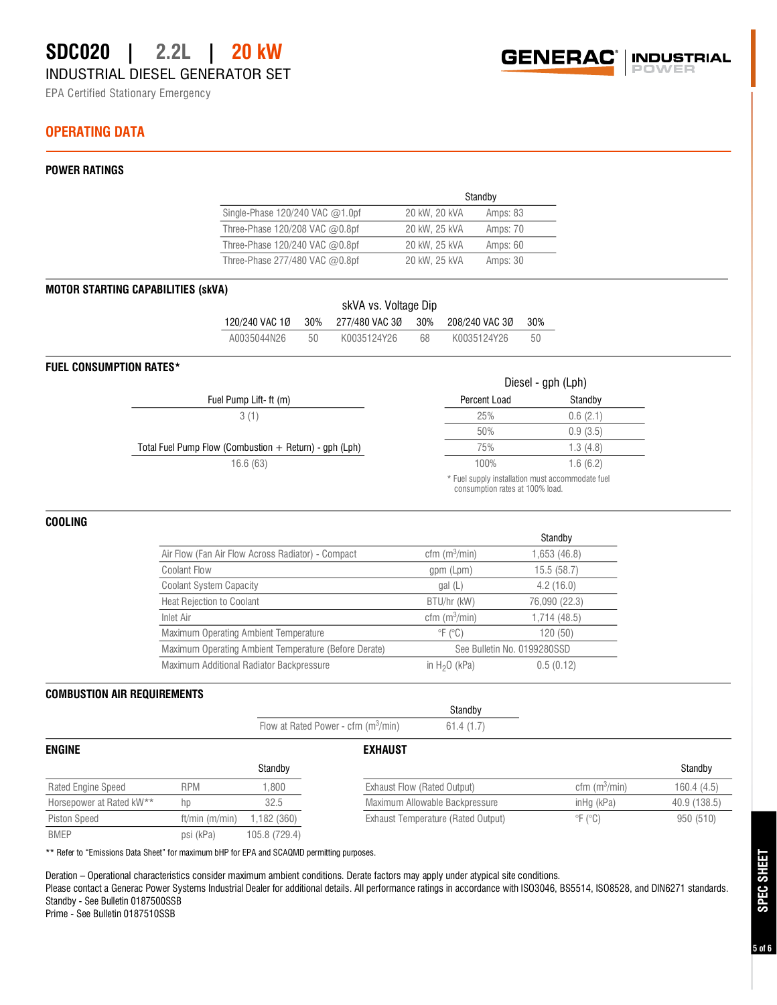EPA Certified Stationary Emergency

#### **OPERATING DATA**

#### **POWER RATINGS**

|                                      | Standby       |          |  |
|--------------------------------------|---------------|----------|--|
| Single-Phase $120/240$ VAC $@1.0$ pf | 20 kW, 20 kVA | Amps: 83 |  |
| Three-Phase 120/208 VAC @0.8pf       | 20 kW, 25 kVA | Amps: 70 |  |
| Three-Phase 120/240 VAC @0.8pf       | 20 kW, 25 kVA | Amps: 60 |  |
| Three-Phase 277/480 VAC $@0.8$ pf    | 20 kW, 25 kVA | Amps: 30 |  |

#### **MOTOR STARTING CAPABILITIES (skVA)**

| skVA vs. Voltage Dip |        |                                       |    |             |     |
|----------------------|--------|---------------------------------------|----|-------------|-----|
| 120/240 VAC 1Ø       |        | 30% 277/480 VAC 3Ø 30% 208/240 VAC 3Ø |    |             | 30% |
| A0035044N26          | $50 -$ | K0035124Y26                           | 68 | K0035124Y26 | 50  |

#### **FUEL CONSUMPTION RATES\***

|                                                          |                                                                                | Diesel - gph (Lph) |
|----------------------------------------------------------|--------------------------------------------------------------------------------|--------------------|
| Fuel Pump Lift-ft (m)                                    | Percent Load                                                                   | Standby            |
| 3(1)                                                     | 25%                                                                            | 0.6(2.1)           |
|                                                          | 50%                                                                            | 0.9(3.5)           |
| Total Fuel Pump Flow (Combustion $+$ Return) - gph (Lph) | 75%                                                                            | 1.3(4.8)           |
| 16.6(63)                                                 | 100%                                                                           | 1.6(6.2)           |
|                                                          | * Fuel supply installation must accommodate fuel<br>$\cdots$ $\cdots$ $\cdots$ |                    |

consumption rates at 100% load.

#### **COOLING**

|                                                       |                                 | Standby                     |
|-------------------------------------------------------|---------------------------------|-----------------------------|
| Air Flow (Fan Air Flow Across Radiator) - Compact     | cfm $(m^3/min)$                 | 1,653 (46.8)                |
| <b>Coolant Flow</b>                                   | gpm (Lpm)                       | 15.5(58.7)                  |
| <b>Coolant System Capacity</b>                        | gal(L)                          | 4.2(16.0)                   |
| <b>Heat Rejection to Coolant</b>                      | BTU/hr (kW)                     | 76,090 (22.3)               |
| Inlet Air                                             | cfm $(m^3/min)$                 | 1,714 (48.5)                |
| Maximum Operating Ambient Temperature                 | $\mathcal{F}$ ( $\mathcal{C}$ ) | 120 (50)                    |
| Maximum Operating Ambient Temperature (Before Derate) |                                 | See Bulletin No. 0199280SSD |
| Maximum Additional Radiator Backpressure              | in $H2O$ (kPa)                  | 0.5(0.12)                   |

#### **COMBUSTION AIR REQUIREMENTS**

|                           |                |                                       |                             | <b>Ulditury</b>                    |                                |              |
|---------------------------|----------------|---------------------------------------|-----------------------------|------------------------------------|--------------------------------|--------------|
|                           |                | Flow at Rated Power - cfm $(m^3/min)$ |                             | 61.4(1.7)                          |                                |              |
| <b>ENGINE</b>             |                |                                       | <b>EXHAUST</b>              |                                    |                                |              |
|                           |                | Standby                               |                             |                                    |                                | Standby      |
| <b>Rated Engine Speed</b> | <b>RPM</b>     | ,800                                  | Exhaust Flow (Rated Output) |                                    | cfm $(m^3/min)$                | 160.4 (4.5)  |
| Horsepower at Rated kW**  | hp             | 32.5                                  |                             | Maximum Allowable Backpressure     | $in$ <sub>Hg</sub> $(k$ Pa $)$ | 40.9 (138.5) |
| <b>Piston Speed</b>       | ft/min (m/min) | 1,182 (360)                           |                             | Exhaust Temperature (Rated Output) | $\mathrm{P}F(\mathrm{C})$      | 950 (510)    |
| <b>BMEP</b>               | psi (kPa)      | 105.8 (729.4)                         |                             |                                    |                                |              |

**Standby** 

\*\* Refer to "Emissions Data Sheet" for maximum bHP for EPA and SCAQMD permitting purposes.

Deration – Operational characteristics consider maximum ambient conditions. Derate factors may apply under atypical site conditions. Please contact a Generac Power Systems Industrial Dealer for additional details. All performance ratings in accordance with ISO3046, BS5514, ISO8528, and DIN6271 standards. Standby - See Bulletin 0187500SSB

Prime - See Bulletin 0187510SSB



### **5 of 6**